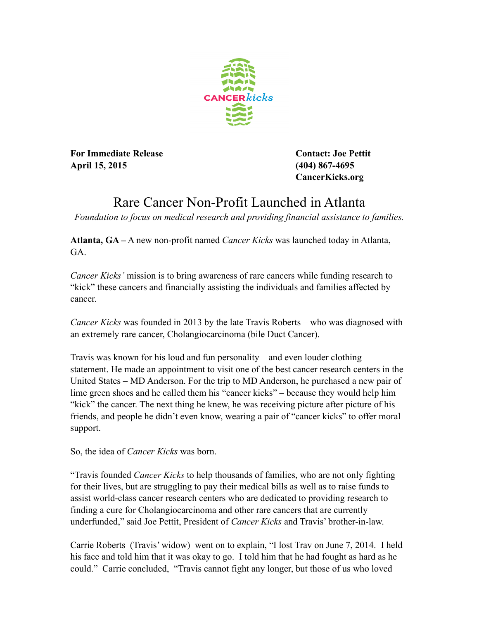

**For Immediate Release Contact: Joe Pettit April 15, 2015 (404) 867-4695**

 **CancerKicks.org**

## Rare Cancer Non-Profit Launched in Atlanta

*Foundation to focus on medical research and providing financial assistance to families.*

**Atlanta, GA –** A new non-profit named *Cancer Kicks* was launched today in Atlanta, GA.

*Cancer Kicks'* mission is to bring awareness of rare cancers while funding research to "kick" these cancers and financially assisting the individuals and families affected by cancer.

*Cancer Kicks* was founded in 2013 by the late Travis Roberts – who was diagnosed with an extremely rare cancer, Cholangiocarcinoma (bile Duct Cancer).

Travis was known for his loud and fun personality – and even louder clothing statement. He made an appointment to visit one of the best cancer research centers in the United States – MD Anderson. For the trip to MD Anderson, he purchased a new pair of lime green shoes and he called them his "cancer kicks" – because they would help him "kick" the cancer. The next thing he knew, he was receiving picture after picture of his friends, and people he didn't even know, wearing a pair of "cancer kicks" to offer moral support.

So, the idea of *Cancer Kicks* was born.

"Travis founded *Cancer Kicks* to help thousands of families, who are not only fighting for their lives, but are struggling to pay their medical bills as well as to raise funds to assist world-class cancer research centers who are dedicated to providing research to finding a cure for Cholangiocarcinoma and other rare cancers that are currently underfunded," said Joe Pettit, President of *Cancer Kicks* and Travis' brother-in-law.

Carrie Roberts (Travis' widow) went on to explain, "I lost Trav on June 7, 2014. I held his face and told him that it was okay to go. I told him that he had fought as hard as he could." Carrie concluded, "Travis cannot fight any longer, but those of us who loved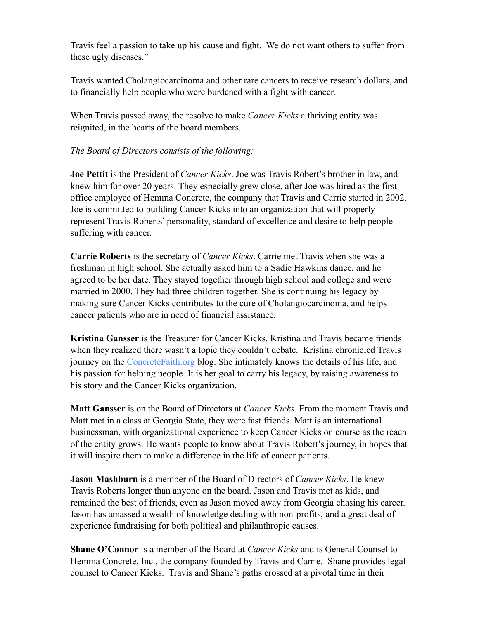Travis feel a passion to take up his cause and fight. We do not want others to suffer from these ugly diseases."

Travis wanted Cholangiocarcinoma and other rare cancers to receive research dollars, and to financially help people who were burdened with a fight with cancer.

When Travis passed away, the resolve to make *Cancer Kicks* a thriving entity was reignited, in the hearts of the board members.

## *The Board of Directors consists of the following:*

**Joe Pettit** is the President of *Cancer Kicks*. Joe was Travis Robert's brother in law, and knew him for over 20 years. They especially grew close, after Joe was hired as the first office employee of Hemma Concrete, the company that Travis and Carrie started in 2002. Joe is committed to building Cancer Kicks into an organization that will properly represent Travis Roberts' personality, standard of excellence and desire to help people suffering with cancer.

**Carrie Roberts** is the secretary of *Cancer Kicks*. Carrie met Travis when she was a freshman in high school. She actually asked him to a Sadie Hawkins dance, and he agreed to be her date. They stayed together through high school and college and were married in 2000. They had three children together. She is continuing his legacy by making sure Cancer Kicks contributes to the cure of Cholangiocarcinoma, and helps cancer patients who are in need of financial assistance.

**Kristina Gansser** is the Treasurer for Cancer Kicks. Kristina and Travis became friends when they realized there wasn't a topic they couldn't debate. Kristina chronicled Travis journey on the [ConcreteFaith.org](http://concretefaith.org/) blog. She intimately knows the details of his life, and his passion for helping people. It is her goal to carry his legacy, by raising awareness to his story and the Cancer Kicks organization.

**Matt Gansser** is on the Board of Directors at *Cancer Kicks*. From the moment Travis and Matt met in a class at Georgia State, they were fast friends. Matt is an international businessman, with organizational experience to keep Cancer Kicks on course as the reach of the entity grows. He wants people to know about Travis Robert's journey, in hopes that it will inspire them to make a difference in the life of cancer patients.

**Jason Mashburn** is a member of the Board of Directors of *Cancer Kicks*. He knew Travis Roberts longer than anyone on the board. Jason and Travis met as kids, and remained the best of friends, even as Jason moved away from Georgia chasing his career. Jason has amassed a wealth of knowledge dealing with non-profits, and a great deal of experience fundraising for both political and philanthropic causes.

**Shane O'Connor** is a member of the Board at *Cancer Kicks* and is General Counsel to Hemma Concrete, Inc., the company founded by Travis and Carrie. Shane provides legal counsel to Cancer Kicks. Travis and Shane's paths crossed at a pivotal time in their